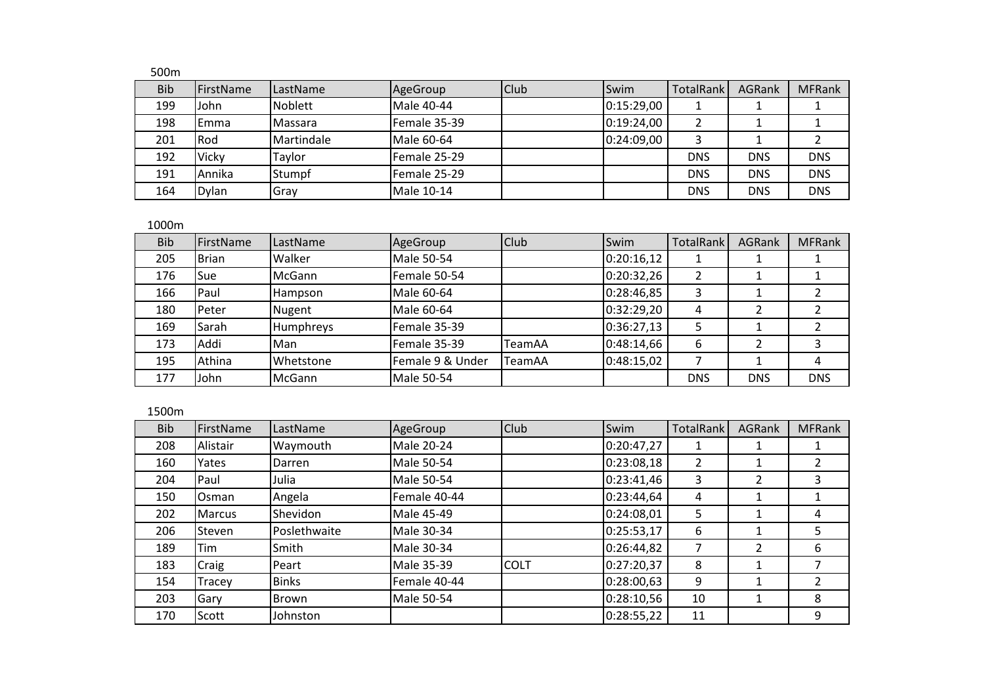## 500m

| <b>Bib</b> | <b>FirstName</b> | LastName       | AgeGroup          | Club | Swim       | TotalRank  | AGRank     | <b>MFRank</b> |
|------------|------------------|----------------|-------------------|------|------------|------------|------------|---------------|
| 199        | John             | Noblett        | <b>Male 40-44</b> |      | 0:15:29,00 |            |            |               |
| 198        | Emma             | <b>Massara</b> | Female 35-39      |      | 0:19:24,00 |            |            |               |
| 201        | Rod              | Martindale     | Male 60-64        |      | 0:24:09,00 |            |            |               |
| 192        | Vicky            | Taylor         | Female 25-29      |      |            | <b>DNS</b> | <b>DNS</b> | <b>DNS</b>    |
| 191        | Annika           | Stumpf         | Female 25-29      |      |            | <b>DNS</b> | <b>DNS</b> | <b>DNS</b>    |
| 164        | Dylan            | Gray           | Male 10-14        |      |            | <b>DNS</b> | <b>DNS</b> | <b>DNS</b>    |

## 1000m

| <b>Bib</b> | FirstName    | LastName         | AgeGroup          | <b>Club</b>   | Swim       | <b>TotalRank</b> | <b>AGRank</b> | <b>MFRank</b> |
|------------|--------------|------------------|-------------------|---------------|------------|------------------|---------------|---------------|
| 205        | <b>Brian</b> | Walker           | <b>Male 50-54</b> |               | 0:20:16,12 |                  |               |               |
| 176        | Sue          | McGann           | Female 50-54      |               | 0:20:32,26 |                  |               |               |
| 166        | Paul         | Hampson          | Male 60-64        |               | 0:28:46,85 | 3                |               |               |
| 180        | Peter        | <b>Nugent</b>    | Male 60-64        |               | 0:32:29,20 | 4                |               |               |
| 169        | Sarah        | <b>Humphreys</b> | Female 35-39      |               | 0:36:27,13 |                  |               |               |
| 173        | Addi         | Man              | Female 35-39      | <b>TeamAA</b> | 0:48:14,66 | 6                |               |               |
| 195        | Athina       | Whetstone        | Female 9 & Under  | TeamAA        | 0:48:15,02 |                  |               | 4             |
| 177        | John         | McGann           | Male 50-54        |               |            | <b>DNS</b>       | <b>DNS</b>    | <b>DNS</b>    |

## 1500m

| <b>Bib</b> | FirstName     | LastName     | AgeGroup          | <b>Club</b> | Swim       | <b>TotalRank</b> | <b>AGRank</b> | <b>MFRank</b> |
|------------|---------------|--------------|-------------------|-------------|------------|------------------|---------------|---------------|
| 208        | Alistair      | Waymouth     | Male 20-24        |             | 0:20:47,27 |                  |               |               |
| 160        | Yates         | Darren       | <b>Male 50-54</b> |             | 0:23:08,18 | 2                |               |               |
| 204        | Paul          | Julia        | <b>Male 50-54</b> |             | 0:23:41,46 | 3                | 2             | 3             |
| 150        | Osman         | Angela       | Female 40-44      |             | 0:23:44,64 | 4                |               |               |
| 202        | <b>Marcus</b> | Shevidon     | Male 45-49        |             | 0:24:08,01 | 5.               |               | 4             |
| 206        | Steven        | Poslethwaite | Male 30-34        |             | 0:25:53,17 | 6                |               | 5             |
| 189        | Tim           | Smith        | Male 30-34        |             | 0:26:44,82 |                  | $\mathcal{P}$ | 6             |
| 183        | Craig         | Peart        | Male 35-39        | <b>COLT</b> | 0:27:20,37 | 8                |               |               |
| 154        | Tracey        | <b>Binks</b> | Female 40-44      |             | 0:28:00,63 | 9                |               |               |
| 203        | Gary          | Brown        | Male 50-54        |             | 0:28:10,56 | 10               |               | 8             |
| 170        | Scott         | Johnston     |                   |             | 0:28:55,22 | 11               |               | 9             |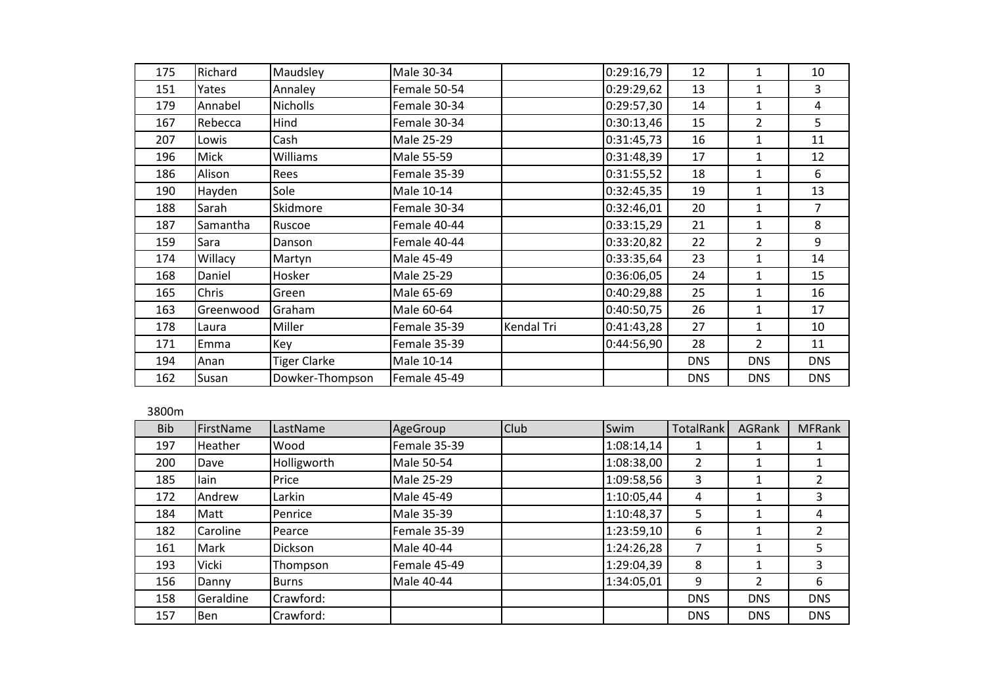| 175 | Richard   | Maudsley            | Male 30-34   |            | 0:29:16,79 | 12         | 1              | 10         |
|-----|-----------|---------------------|--------------|------------|------------|------------|----------------|------------|
| 151 | Yates     | Annaley             | Female 50-54 |            | 0:29:29,62 | 13         | 1              | 3          |
| 179 | Annabel   | <b>Nicholls</b>     | Female 30-34 |            | 0:29:57,30 | 14         | 1              | 4          |
| 167 | Rebecca   | Hind                | Female 30-34 |            | 0:30:13,46 | 15         | 2              | 5          |
| 207 | Lowis     | Cash                | Male 25-29   |            | 0:31:45,73 | 16         | 1              | 11         |
| 196 | Mick      | Williams            | Male 55-59   |            | 0:31:48,39 | 17         | 1              | 12         |
| 186 | Alison    | Rees                | Female 35-39 |            | 0:31:55,52 | 18         | 1              | 6          |
| 190 | Hayden    | Sole                | Male 10-14   |            | 0:32:45,35 | 19         | 1              | 13         |
| 188 | Sarah     | Skidmore            | Female 30-34 |            | 0:32:46,01 | 20         | $\mathbf{1}$   | 7          |
| 187 | Samantha  | Ruscoe              | Female 40-44 |            | 0:33:15,29 | 21         | 1              | 8          |
| 159 | Sara      | Danson              | Female 40-44 |            | 0:33:20,82 | 22         | 2              | 9          |
| 174 | Willacy   | Martyn              | Male 45-49   |            | 0:33:35,64 | 23         | 1              | 14         |
| 168 | Daniel    | Hosker              | Male 25-29   |            | 0:36:06,05 | 24         | $\mathbf{1}$   | 15         |
| 165 | Chris     | Green               | Male 65-69   |            | 0:40:29,88 | 25         | 1              | 16         |
| 163 | Greenwood | Graham              | Male 60-64   |            | 0:40:50,75 | 26         | 1              | 17         |
| 178 | Laura     | Miller              | Female 35-39 | Kendal Tri | 0:41:43,28 | 27         | $\mathbf{1}$   | 10         |
| 171 | Emma      | Key                 | Female 35-39 |            | 0:44:56,90 | 28         | $\overline{2}$ | 11         |
| 194 | Anan      | <b>Tiger Clarke</b> | Male 10-14   |            |            | <b>DNS</b> | <b>DNS</b>     | <b>DNS</b> |
| 162 | Susan     | Dowker-Thompson     | Female 45-49 |            |            | <b>DNS</b> | <b>DNS</b>     | <b>DNS</b> |
|     |           |                     |              |            |            |            |                |            |

## 3800m

| <b>Bib</b> | FirstName | LastName     | AgeGroup          | <b>Club</b> | Swim       | <b>TotalRank</b> | <b>AGRank</b> | <b>MFRank</b> |
|------------|-----------|--------------|-------------------|-------------|------------|------------------|---------------|---------------|
| 197        | Heather   | Wood         | Female 35-39      |             | 1:08:14,14 |                  |               |               |
| 200        | Dave      | Holligworth  | <b>Male 50-54</b> |             | 1:08:38,00 | 2                |               |               |
| 185        | lain      | Price        | <b>Male 25-29</b> |             | 1:09:58,56 | 3                |               | 2             |
| 172        | Andrew    | Larkin       | Male 45-49        |             | 1:10:05,44 | 4                |               | 3             |
| 184        | Matt      | Penrice      | Male 35-39        |             | 1:10:48,37 | 5.               |               | 4             |
| 182        | Caroline  | Pearce       | Female 35-39      |             | 1:23:59,10 | 6                |               | $\mathfrak z$ |
| 161        | Mark      | Dickson      | Male 40-44        |             | 1:24:26,28 |                  |               | 5             |
| 193        | Vicki     | Thompson     | Female 45-49      |             | 1:29:04,39 | 8                |               | 3             |
| 156        | Danny     | <b>Burns</b> | Male 40-44        |             | 1:34:05,01 | 9                | $\mathcal{P}$ | 6             |
| 158        | Geraldine | Crawford:    |                   |             |            | <b>DNS</b>       | <b>DNS</b>    | <b>DNS</b>    |
| 157        | Ben       | Crawford:    |                   |             |            | <b>DNS</b>       | <b>DNS</b>    | <b>DNS</b>    |